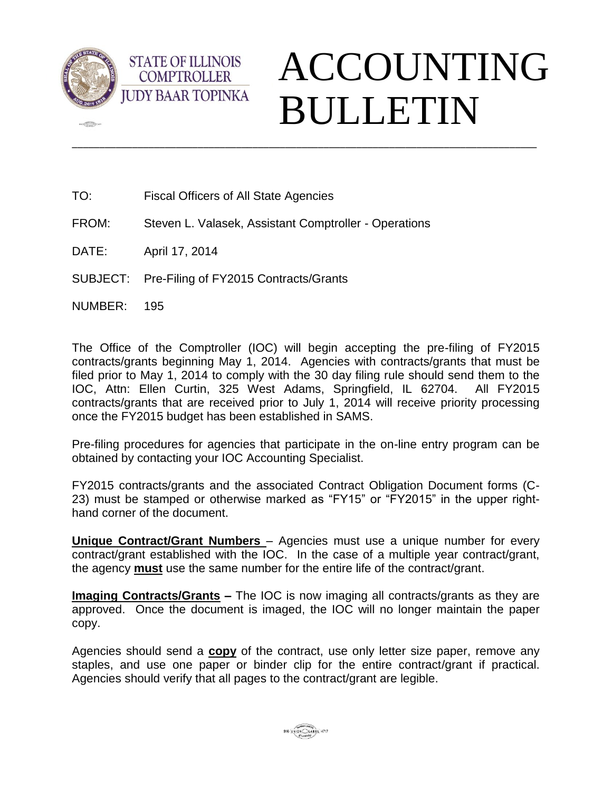

 $\sqrt{2\pi}$ 

## ACCOUNTING BULLETIN

TO: Fiscal Officers of All State Agencies

**STATE OF ILLINOIS COMPTROLLER** 

- FROM: Steven L. Valasek, Assistant Comptroller Operations
- DATE: April 17, 2014
- SUBJECT: Pre-Filing of FY2015 Contracts/Grants
- NUMBER: 195

The Office of the Comptroller (IOC) will begin accepting the pre-filing of FY2015 contracts/grants beginning May 1, 2014. Agencies with contracts/grants that must be filed prior to May 1, 2014 to comply with the 30 day filing rule should send them to the IOC, Attn: Ellen Curtin, 325 West Adams, Springfield, IL 62704. All FY2015 contracts/grants that are received prior to July 1, 2014 will receive priority processing once the FY2015 budget has been established in SAMS.

\_\_\_\_\_\_\_\_\_\_\_\_\_\_\_\_\_\_\_\_\_\_\_\_\_\_\_\_\_\_\_\_\_\_\_\_\_\_\_\_\_\_\_\_\_\_\_\_\_\_\_\_\_\_\_\_\_\_\_\_\_\_\_\_\_\_\_\_\_\_\_\_\_\_\_\_\_\_\_\_\_\_\_\_\_

Pre-filing procedures for agencies that participate in the on-line entry program can be obtained by contacting your IOC Accounting Specialist.

FY2015 contracts/grants and the associated Contract Obligation Document forms (C-23) must be stamped or otherwise marked as "FY15" or "FY2015" in the upper righthand corner of the document.

**Unique Contract/Grant Numbers** – Agencies must use a unique number for every contract/grant established with the IOC. In the case of a multiple year contract/grant, the agency **must** use the same number for the entire life of the contract/grant.

**Imaging Contracts/Grants –** The IOC is now imaging all contracts/grants as they are approved. Once the document is imaged, the IOC will no longer maintain the paper copy.

Agencies should send a **copy** of the contract, use only letter size paper, remove any staples, and use one paper or binder clip for the entire contract/grant if practical. Agencies should verify that all pages to the contract/grant are legible.